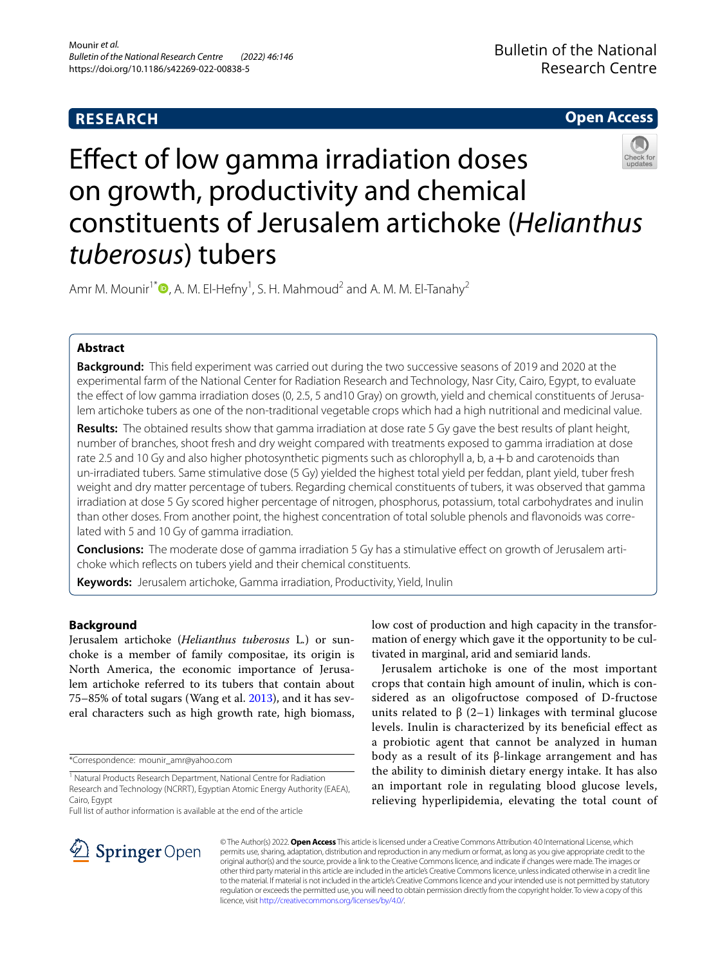# **RESEARCH**

# **Open Access**



# Efect of low gamma irradiation doses on growth, productivity and chemical constituents of Jerusalem artichoke (*Helianthus tuberosus*) tubers

Amr M. Mounir<sup>1\*</sup><sup>®</sup>[,](http://orcid.org/0000-0001-9040-7573) A. M. El-Hefny<sup>1</sup>, S. H. Mahmoud<sup>2</sup> and A. M. M. El-Tanahy<sup>2</sup>

# **Abstract**

**Background:** This feld experiment was carried out during the two successive seasons of 2019 and 2020 at the experimental farm of the National Center for Radiation Research and Technology, Nasr City, Cairo, Egypt, to evaluate the effect of low gamma irradiation doses (0, 2.5, 5 and 10 Gray) on growth, yield and chemical constituents of Jerusalem artichoke tubers as one of the non-traditional vegetable crops which had a high nutritional and medicinal value.

**Results:** The obtained results show that gamma irradiation at dose rate 5 Gy gave the best results of plant height, number of branches, shoot fresh and dry weight compared with treatments exposed to gamma irradiation at dose rate 2.5 and 10 Gy and also higher photosynthetic pigments such as chlorophyll a, b,  $a + b$  and carotenoids than un-irradiated tubers. Same stimulative dose (5 Gy) yielded the highest total yield per feddan, plant yield, tuber fresh weight and dry matter percentage of tubers. Regarding chemical constituents of tubers, it was observed that gamma irradiation at dose 5 Gy scored higher percentage of nitrogen, phosphorus, potassium, total carbohydrates and inulin than other doses. From another point, the highest concentration of total soluble phenols and flavonoids was correlated with 5 and 10 Gy of gamma irradiation.

**Conclusions:** The moderate dose of gamma irradiation 5 Gy has a stimulative effect on growth of Jerusalem artichoke which refects on tubers yield and their chemical constituents.

**Keywords:** Jerusalem artichoke, Gamma irradiation, Productivity, Yield, Inulin

# **Background**

Jerusalem artichoke (*Helianthus tuberosus* L*.*) or sunchoke is a member of family compositae, its origin is North America, the economic importance of Jerusalem artichoke referred to its tubers that contain about 75–85% of total sugars (Wang et al. [2013](#page-6-0)), and it has several characters such as high growth rate, high biomass,

\*Correspondence: mounir\_amr@yahoo.com

Full list of author information is available at the end of the article

low cost of production and high capacity in the transformation of energy which gave it the opportunity to be cultivated in marginal, arid and semiarid lands.

Jerusalem artichoke is one of the most important crops that contain high amount of inulin, which is considered as an oligofructose composed of D-fructose units related to  $β$  (2–1) linkages with terminal glucose levels. Inulin is characterized by its benefcial efect as a probiotic agent that cannot be analyzed in human body as a result of its β-linkage arrangement and has the ability to diminish dietary energy intake. It has also an important role in regulating blood glucose levels, relieving hyperlipidemia, elevating the total count of



© The Author(s) 2022. **Open Access** This article is licensed under a Creative Commons Attribution 4.0 International License, which permits use, sharing, adaptation, distribution and reproduction in any medium or format, as long as you give appropriate credit to the original author(s) and the source, provide a link to the Creative Commons licence, and indicate if changes were made. The images or other third party material in this article are included in the article's Creative Commons licence, unless indicated otherwise in a credit line to the material. If material is not included in the article's Creative Commons licence and your intended use is not permitted by statutory regulation or exceeds the permitted use, you will need to obtain permission directly from the copyright holder. To view a copy of this licence, visit [http://creativecommons.org/licenses/by/4.0/.](http://creativecommons.org/licenses/by/4.0/)

<sup>&</sup>lt;sup>1</sup> Natural Products Research Department, National Centre for Radiation Research and Technology (NCRRT), Egyptian Atomic Energy Authority (EAEA), Cairo, Egypt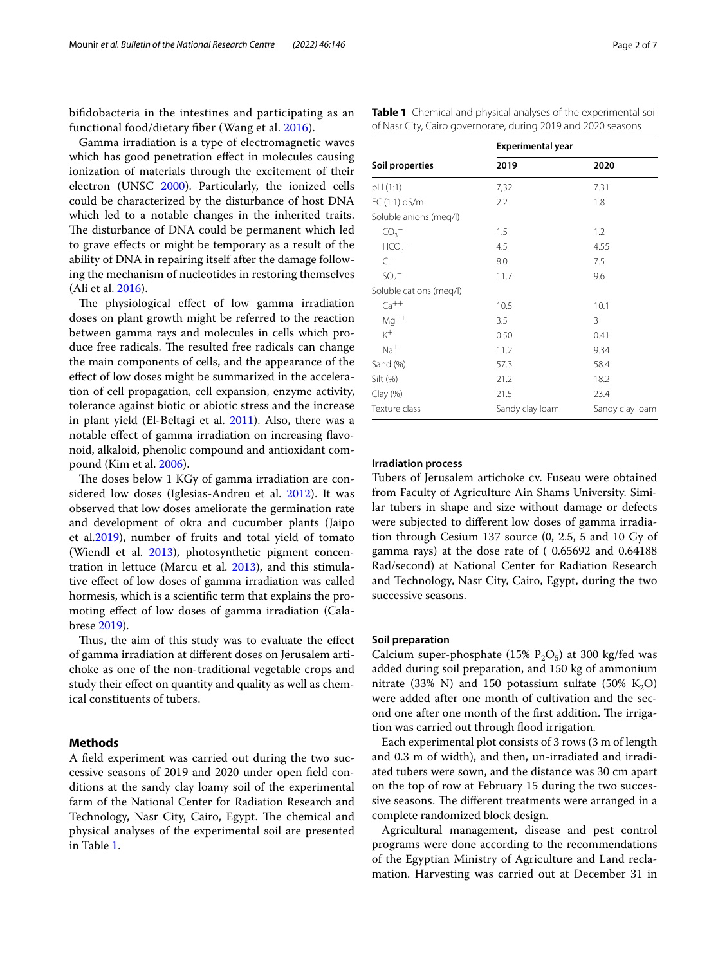bifdobacteria in the intestines and participating as an functional food/dietary fber (Wang et al. [2016\)](#page-6-1).

Gamma irradiation is a type of electromagnetic waves which has good penetration effect in molecules causing ionization of materials through the excitement of their electron (UNSC [2000\)](#page-6-2). Particularly, the ionized cells could be characterized by the disturbance of host DNA which led to a notable changes in the inherited traits. The disturbance of DNA could be permanent which led to grave efects or might be temporary as a result of the ability of DNA in repairing itself after the damage following the mechanism of nucleotides in restoring themselves (Ali et al. [2016\)](#page-5-0).

The physiological effect of low gamma irradiation doses on plant growth might be referred to the reaction between gamma rays and molecules in cells which produce free radicals. The resulted free radicals can change the main components of cells, and the appearance of the efect of low doses might be summarized in the acceleration of cell propagation, cell expansion, enzyme activity, tolerance against biotic or abiotic stress and the increase in plant yield (El-Beltagi et al. [2011\)](#page-6-3). Also, there was a notable efect of gamma irradiation on increasing favonoid, alkaloid, phenolic compound and antioxidant compound (Kim et al. [2006\)](#page-6-4).

The doses below 1 KGy of gamma irradiation are considered low doses (Iglesias-Andreu et al. [2012\)](#page-6-5). It was observed that low doses ameliorate the germination rate and development of okra and cucumber plants (Jaipo et al.[2019\)](#page-6-6), number of fruits and total yield of tomato (Wiendl et al. [2013\)](#page-6-7), photosynthetic pigment concentration in lettuce (Marcu et al. [2013\)](#page-6-8), and this stimulative efect of low doses of gamma irradiation was called hormesis, which is a scientifc term that explains the promoting efect of low doses of gamma irradiation (Calabrese [2019](#page-5-1)).

Thus, the aim of this study was to evaluate the effect of gamma irradiation at diferent doses on Jerusalem artichoke as one of the non-traditional vegetable crops and study their efect on quantity and quality as well as chemical constituents of tubers.

# **Methods**

A feld experiment was carried out during the two successive seasons of 2019 and 2020 under open feld conditions at the sandy clay loamy soil of the experimental farm of the National Center for Radiation Research and Technology, Nasr City, Cairo, Egypt. The chemical and physical analyses of the experimental soil are presented in Table [1](#page-1-0).

**Experimental year Soil properties 2019 2020** pH (1:1) 7,32 7.31 EC (1:1) dS/m 2.2 1.8 Soluble anions (meq/l)

<span id="page-1-0"></span>**Table 1** Chemical and physical analyses of the experimental soil of Nasr City, Cairo governorate, during 2019 and 2020 seasons

| __ , , , , <i>, __,</i> , , , |                 |                 |
|-------------------------------|-----------------|-----------------|
| Soluble anions (meg/l)        |                 |                 |
| CO <sub>3</sub>               | 1.5             | 1.2             |
| HCO <sub>3</sub>              | 4.5             | 4.55            |
| $Cl^-$                        | 8.0             | 7.5             |
| $SO_4^-$                      | 11.7            | 9.6             |
| Soluble cations (meg/l)       |                 |                 |
| $Ca^{++}$                     | 10.5            | 10.1            |
| $Mg^{++}$                     | 3.5             | 3               |
| $K^+$                         | 0.50            | 0.41            |
| $Na+$                         | 11.2            | 9.34            |
| Sand (%)                      | 57.3            | 58.4            |
| Silt (%)                      | 21.2            | 18.2            |
| Clay (%)                      | 21.5            | 23.4            |
| Texture class                 | Sandy clay loam | Sandy clay loam |

## **Irradiation process**

Tubers of Jerusalem artichoke cv. Fuseau were obtained from Faculty of Agriculture Ain Shams University. Similar tubers in shape and size without damage or defects were subjected to diferent low doses of gamma irradiation through Cesium 137 source (0, 2.5, 5 and 10 Gy of gamma rays) at the dose rate of ( 0.65692 and 0.64188 Rad/second) at National Center for Radiation Research and Technology, Nasr City, Cairo, Egypt, during the two successive seasons.

#### **Soil preparation**

Calcium super-phosphate (15%  $P_2O_5$ ) at 300 kg/fed was added during soil preparation, and 150 kg of ammonium nitrate (33% N) and 150 potassium sulfate (50% K<sub>2</sub>O) were added after one month of cultivation and the second one after one month of the first addition. The irrigation was carried out through flood irrigation.

Each experimental plot consists of 3 rows (3 m of length and 0.3 m of width), and then, un-irradiated and irradiated tubers were sown, and the distance was 30 cm apart on the top of row at February 15 during the two successive seasons. The different treatments were arranged in a complete randomized block design.

Agricultural management, disease and pest control programs were done according to the recommendations of the Egyptian Ministry of Agriculture and Land reclamation. Harvesting was carried out at December 31 in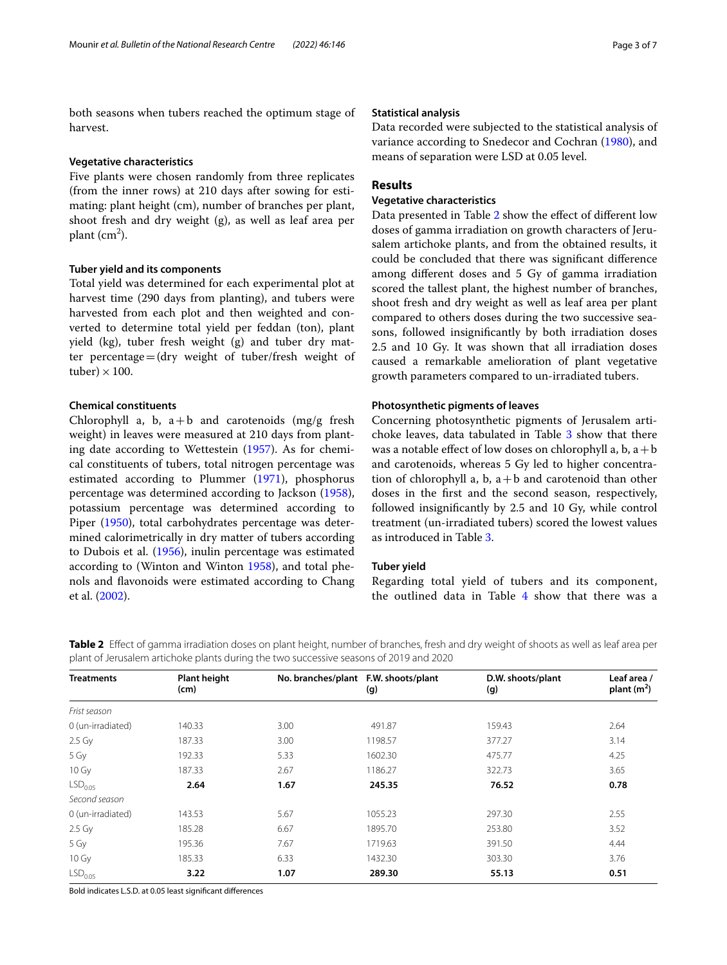both seasons when tubers reached the optimum stage of harvest.

## **Vegetative characteristics**

Five plants were chosen randomly from three replicates (from the inner rows) at 210 days after sowing for estimating: plant height (cm), number of branches per plant, shoot fresh and dry weight (g), as well as leaf area per plant (cm<sup>2</sup>).

#### **Tuber yield and its components**

Total yield was determined for each experimental plot at harvest time (290 days from planting), and tubers were harvested from each plot and then weighted and converted to determine total yield per feddan (ton), plant yield (kg), tuber fresh weight (g) and tuber dry matter percentage=(dry weight of tuber/fresh weight of tuber)  $\times$  100.

# **Chemical constituents**

Chlorophyll a, b,  $a+b$  and carotenoids (mg/g fresh weight) in leaves were measured at 210 days from planting date according to Wettestein [\(1957\)](#page-6-9). As for chemical constituents of tubers, total nitrogen percentage was estimated according to Plummer ([1971](#page-6-10)), phosphorus percentage was determined according to Jackson [\(1958](#page-6-11)), potassium percentage was determined according to Piper [\(1950](#page-6-12)), total carbohydrates percentage was determined calorimetrically in dry matter of tubers according to Dubois et al. [\(1956\)](#page-6-13), inulin percentage was estimated according to (Winton and Winton [1958\)](#page-6-14), and total phenols and favonoids were estimated according to Chang et al. ([2002](#page-6-15)).

## **Statistical analysis**

Data recorded were subjected to the statistical analysis of variance according to Snedecor and Cochran ([1980](#page-6-16)), and means of separation were LSD at 0.05 level.

# **Results**

# **Vegetative characteristics**

Data presented in Table [2](#page-2-0) show the efect of diferent low doses of gamma irradiation on growth characters of Jerusalem artichoke plants, and from the obtained results, it could be concluded that there was signifcant diference among diferent doses and 5 Gy of gamma irradiation scored the tallest plant, the highest number of branches, shoot fresh and dry weight as well as leaf area per plant compared to others doses during the two successive seasons, followed insignifcantly by both irradiation doses 2.5 and 10 Gy. It was shown that all irradiation doses caused a remarkable amelioration of plant vegetative growth parameters compared to un-irradiated tubers.

## **Photosynthetic pigments of leaves**

Concerning photosynthetic pigments of Jerusalem arti-choke leaves, data tabulated in Table [3](#page-3-0) show that there was a notable effect of low doses on chlorophyll a, b,  $a + b$ and carotenoids, whereas 5 Gy led to higher concentration of chlorophyll a, b,  $a + b$  and carotenoid than other doses in the frst and the second season, respectively, followed insignifcantly by 2.5 and 10 Gy, while control treatment (un-irradiated tubers) scored the lowest values as introduced in Table [3.](#page-3-0)

## **Tuber yield**

Regarding total yield of tubers and its component, the outlined data in Table [4](#page-3-1) show that there was a

<span id="page-2-0"></span>**Table 2** Effect of gamma irradiation doses on plant height, number of branches, fresh and dry weight of shoots as well as leaf area per plant of Jerusalem artichoke plants during the two successive seasons of 2019 and 2020

| <b>Treatments</b>   | <b>Plant height</b><br>(cm) | No. branches/plant | F.W. shoots/plant<br>(g) | D.W. shoots/plant<br>(g) | Leaf area /<br>plant $(m2)$ |
|---------------------|-----------------------------|--------------------|--------------------------|--------------------------|-----------------------------|
| Frist season        |                             |                    |                          |                          |                             |
| 0 (un-irradiated)   | 140.33                      | 3.00               | 491.87                   | 159.43                   | 2.64                        |
| 2.5 Gy              | 187.33                      | 3.00               | 1198.57                  | 377.27                   | 3.14                        |
| 5 Gy                | 192.33                      | 5.33               | 1602.30                  | 475.77                   | 4.25                        |
| 10 Gy               | 187.33                      | 2.67               | 1186.27                  | 322.73                   | 3.65                        |
| LSD <sub>0.05</sub> | 2.64                        | 1.67               | 245.35                   | 76.52                    | 0.78                        |
| Second season       |                             |                    |                          |                          |                             |
| 0 (un-irradiated)   | 143.53                      | 5.67               | 1055.23                  | 297.30                   | 2.55                        |
| 2.5 Gy              | 185.28                      | 6.67               | 1895.70                  | 253.80                   | 3.52                        |
| 5 Gy                | 195.36                      | 7.67               | 1719.63                  | 391.50                   | 4.44                        |
| 10 Gy               | 185.33                      | 6.33               | 1432.30                  | 303.30                   | 3.76                        |
| LSD <sub>0.05</sub> | 3.22                        | 1.07               | 289.30                   | 55.13                    | 0.51                        |

Bold indicates L.S.D. at 0.05 least signifcant diferences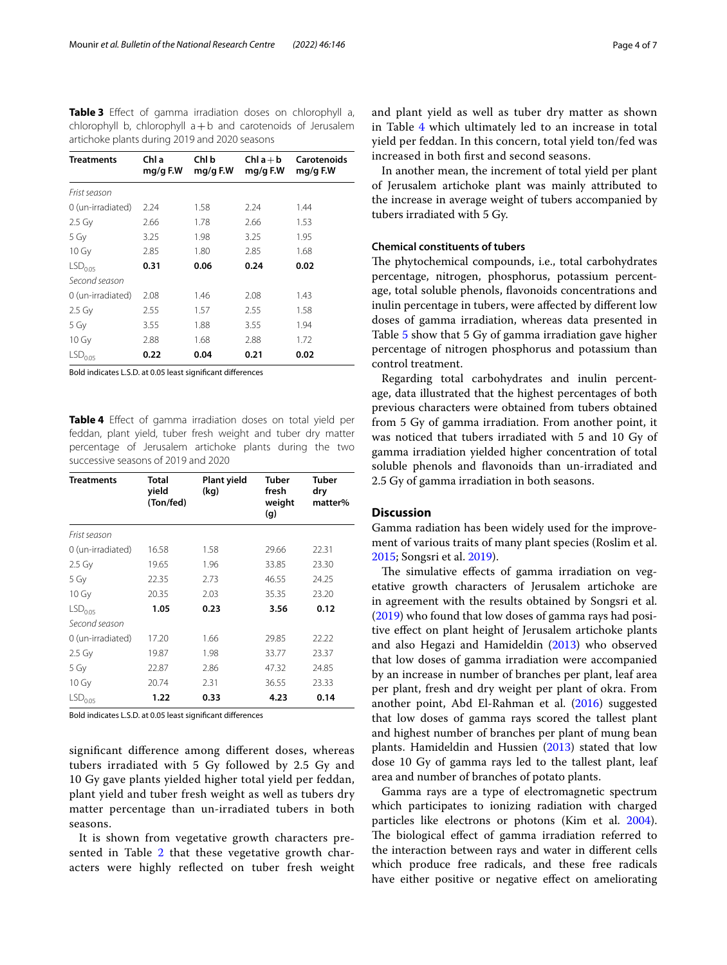<span id="page-3-0"></span>**Table 3** Efect of gamma irradiation doses on chlorophyll a, chlorophyll b, chlorophyll a+b and carotenoids of Jerusalem artichoke plants during 2019 and 2020 seasons

| Treatments            | Chl a<br>mg/g F.W | Chl b<br>$mg/g$ F.W | $Chl a + b$<br>mg/g F.W | Carotenoids<br>$mg/g$ F.W |
|-----------------------|-------------------|---------------------|-------------------------|---------------------------|
| Frist season          |                   |                     |                         |                           |
| 0 (un-irradiated)     | 2.24              | 1.58                | 2.24                    | 1.44                      |
| $2.5 \text{ Gy}$      | 2.66              | 1.78                | 2.66                    | 1.53                      |
| 5 Gy                  | 3.25              | 1.98                | 3.25                    | 1.95                      |
| $10 \,\mathrm{Gy}$    | 2.85              | 1.80                | 2.85                    | 1.68                      |
| LSD <sub>0.05</sub>   | 0.31              | 0.06                | 0.24                    | 0.02                      |
| Second season         |                   |                     |                         |                           |
| 0 (un-irradiated)     | 2.08              | 1.46                | 2.08                    | 1.43                      |
| $2.5$ Gy              | 2.55              | 1.57                | 2.55                    | 1.58                      |
| 5 Gy                  | 3.55              | 1.88                | 3.55                    | 1.94                      |
| 10 Gy                 | 2.88              | 1.68                | 2.88                    | 1.72                      |
| $\mathsf{LSD}_{0.05}$ | 0.22              | 0.04                | 0.21                    | 0.02                      |

Bold indicates L.S.D. at 0.05 least signifcant diferences

<span id="page-3-1"></span>**Table 4** Efect of gamma irradiation doses on total yield per feddan, plant yield, tuber fresh weight and tuber dry matter percentage of Jerusalem artichoke plants during the two successive seasons of 2019 and 2020

| <b>Treatments</b>     | Total<br>yield<br>(Ton/fed) | Plant yield<br>(kg) | Tuber<br>fresh<br>weight<br>(g) | <b>Tuber</b><br>dry<br>matter% |
|-----------------------|-----------------------------|---------------------|---------------------------------|--------------------------------|
| Frist season          |                             |                     |                                 |                                |
| 0 (un-irradiated)     | 16.58                       | 1.58                | 29.66                           | 22.31                          |
| $2.5$ Gy              | 19.65                       | 1.96                | 33.85                           | 23.30                          |
| 5 Gy                  | 22.35                       | 2.73                | 46.55                           | 24.25                          |
| 10 Gy                 | 20.35                       | 2.03                | 35.35                           | 23.20                          |
| LSD <sub>0.05</sub>   | 1.05                        | 0.23                | 3.56                            | 0.12                           |
| Second season         |                             |                     |                                 |                                |
| 0 (un-irradiated)     | 17.20                       | 1.66                | 29.85                           | 22.22                          |
| $2.5 \text{ Gy}$      | 19.87                       | 1.98                | 33.77                           | 23.37                          |
| 5 Gy                  | 22.87                       | 2.86                | 47.32                           | 24.85                          |
| 10 Gy                 | 20.74                       | 2.31                | 36.55                           | 23.33                          |
| $\mathsf{LSD}_{0.05}$ | 1.22                        | 0.33                | 4.23                            | 0.14                           |

Bold indicates L.S.D. at 0.05 least signifcant diferences

signifcant diference among diferent doses, whereas tubers irradiated with 5 Gy followed by 2.5 Gy and 10 Gy gave plants yielded higher total yield per feddan, plant yield and tuber fresh weight as well as tubers dry matter percentage than un-irradiated tubers in both seasons.

It is shown from vegetative growth characters pre-sented in Table [2](#page-2-0) that these vegetative growth characters were highly refected on tuber fresh weight and plant yield as well as tuber dry matter as shown in Table [4](#page-3-1) which ultimately led to an increase in total yield per feddan. In this concern, total yield ton/fed was increased in both frst and second seasons.

In another mean, the increment of total yield per plant of Jerusalem artichoke plant was mainly attributed to the increase in average weight of tubers accompanied by tubers irradiated with 5 Gy.

## **Chemical constituents of tubers**

The phytochemical compounds, i.e., total carbohydrates percentage, nitrogen, phosphorus, potassium percentage, total soluble phenols, favonoids concentrations and inulin percentage in tubers, were afected by diferent low doses of gamma irradiation, whereas data presented in Table [5](#page-4-0) show that 5 Gy of gamma irradiation gave higher percentage of nitrogen phosphorus and potassium than control treatment.

Regarding total carbohydrates and inulin percentage, data illustrated that the highest percentages of both previous characters were obtained from tubers obtained from 5 Gy of gamma irradiation. From another point, it was noticed that tubers irradiated with 5 and 10 Gy of gamma irradiation yielded higher concentration of total soluble phenols and favonoids than un-irradiated and 2.5 Gy of gamma irradiation in both seasons.

## **Discussion**

Gamma radiation has been widely used for the improvement of various traits of many plant species (Roslim et al. [2015](#page-6-17); Songsri et al. [2019](#page-6-18)).

The simulative effects of gamma irradiation on vegetative growth characters of Jerusalem artichoke are in agreement with the results obtained by Songsri et al. ([2019\)](#page-6-18) who found that low doses of gamma rays had positive efect on plant height of Jerusalem artichoke plants and also Hegazi and Hamideldin ([2013](#page-6-19)) who observed that low doses of gamma irradiation were accompanied by an increase in number of branches per plant, leaf area per plant, fresh and dry weight per plant of okra. From another point, Abd El-Rahman et al. [\(2016\)](#page-5-2) suggested that low doses of gamma rays scored the tallest plant and highest number of branches per plant of mung bean plants. Hamideldin and Hussien [\(2013\)](#page-6-20) stated that low dose 10 Gy of gamma rays led to the tallest plant, leaf area and number of branches of potato plants.

Gamma rays are a type of electromagnetic spectrum which participates to ionizing radiation with charged particles like electrons or photons (Kim et al. [2004](#page-6-21)). The biological effect of gamma irradiation referred to the interaction between rays and water in diferent cells which produce free radicals, and these free radicals have either positive or negative effect on ameliorating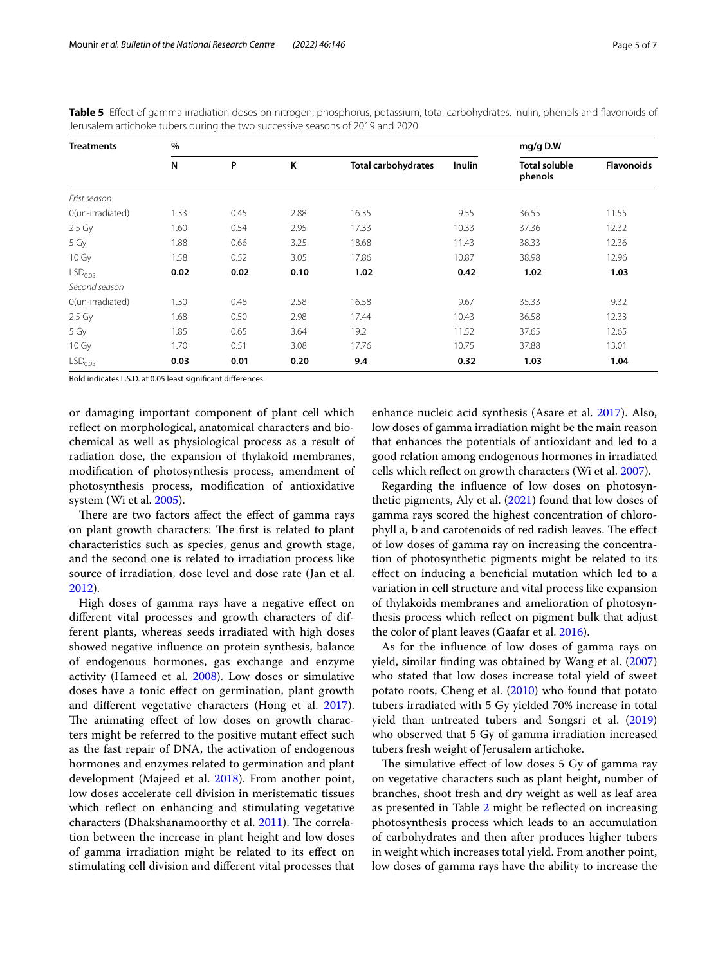| <b>Treatments</b>   | $\tilde{\phantom{a}}$<br>$\%$ |      |      |                            | mg/g D.W |                                 |                   |
|---------------------|-------------------------------|------|------|----------------------------|----------|---------------------------------|-------------------|
|                     | N                             | P    | K    | <b>Total carbohydrates</b> | Inulin   | <b>Total soluble</b><br>phenols | <b>Flavonoids</b> |
| Frist season        |                               |      |      |                            |          |                                 |                   |
| 0(un-irradiated)    | 1.33                          | 0.45 | 2.88 | 16.35                      | 9.55     | 36.55                           | 11.55             |
| $2.5$ Gy            | 1.60                          | 0.54 | 2.95 | 17.33                      | 10.33    | 37.36                           | 12.32             |
| 5 Gy                | 1.88                          | 0.66 | 3.25 | 18.68                      | 11.43    | 38.33                           | 12.36             |
| 10 Gy               | 1.58                          | 0.52 | 3.05 | 17.86                      | 10.87    | 38.98                           | 12.96             |
| LSD <sub>0.05</sub> | 0.02                          | 0.02 | 0.10 | 1.02                       | 0.42     | 1.02                            | 1.03              |
| Second season       |                               |      |      |                            |          |                                 |                   |
| 0(un-irradiated)    | 1.30                          | 0.48 | 2.58 | 16.58                      | 9.67     | 35.33                           | 9.32              |
| $2.5$ Gy            | 1.68                          | 0.50 | 2.98 | 17.44                      | 10.43    | 36.58                           | 12.33             |
| 5 Gy                | 1.85                          | 0.65 | 3.64 | 19.2                       | 11.52    | 37.65                           | 12.65             |
| 10 Gy               | 1.70                          | 0.51 | 3.08 | 17.76                      | 10.75    | 37.88                           | 13.01             |
| LSD <sub>0.05</sub> | 0.03                          | 0.01 | 0.20 | 9.4                        | 0.32     | 1.03                            | 1.04              |

<span id="page-4-0"></span>**Table 5** Efect of gamma irradiation doses on nitrogen, phosphorus, potassium, total carbohydrates, inulin, phenols and favonoids of Jerusalem artichoke tubers during the two successive seasons of 2019 and 2020

Bold indicates L.S.D. at 0.05 least signifcant diferences

or damaging important component of plant cell which refect on morphological, anatomical characters and biochemical as well as physiological process as a result of radiation dose, the expansion of thylakoid membranes, modifcation of photosynthesis process, amendment of photosynthesis process, modifcation of antioxidative system (Wi et al. [2005](#page-6-22)).

There are two factors affect the effect of gamma rays on plant growth characters: The first is related to plant characteristics such as species, genus and growth stage, and the second one is related to irradiation process like source of irradiation, dose level and dose rate (Jan et al. [2012](#page-6-23)).

High doses of gamma rays have a negative efect on diferent vital processes and growth characters of different plants, whereas seeds irradiated with high doses showed negative infuence on protein synthesis, balance of endogenous hormones, gas exchange and enzyme activity (Hameed et al. [2008\)](#page-6-24). Low doses or simulative doses have a tonic efect on germination, plant growth and diferent vegetative characters (Hong et al. [2017](#page-6-25)). The animating effect of low doses on growth characters might be referred to the positive mutant efect such as the fast repair of DNA, the activation of endogenous hormones and enzymes related to germination and plant development (Majeed et al. [2018\)](#page-6-26). From another point, low doses accelerate cell division in meristematic tissues which refect on enhancing and stimulating vegetative characters (Dhakshanamoorthy et al. [2011\)](#page-6-27). The correlation between the increase in plant height and low doses of gamma irradiation might be related to its efect on stimulating cell division and diferent vital processes that enhance nucleic acid synthesis (Asare et al. [2017\)](#page-5-3). Also, low doses of gamma irradiation might be the main reason that enhances the potentials of antioxidant and led to a good relation among endogenous hormones in irradiated cells which refect on growth characters (Wi et al. [2007](#page-6-28)).

Regarding the infuence of low doses on photosynthetic pigments, Aly et al. [\(2021](#page-5-4)) found that low doses of gamma rays scored the highest concentration of chlorophyll a, b and carotenoids of red radish leaves. The effect of low doses of gamma ray on increasing the concentration of photosynthetic pigments might be related to its efect on inducing a benefcial mutation which led to a variation in cell structure and vital process like expansion of thylakoids membranes and amelioration of photosynthesis process which refect on pigment bulk that adjust the color of plant leaves (Gaafar et al. [2016\)](#page-6-29).

As for the infuence of low doses of gamma rays on yield, similar fnding was obtained by Wang et al. ([2007](#page-6-30)) who stated that low doses increase total yield of sweet potato roots, Cheng et al. [\(2010\)](#page-6-31) who found that potato tubers irradiated with 5 Gy yielded 70% increase in total yield than untreated tubers and Songsri et al. ([2019](#page-6-18)) who observed that 5 Gy of gamma irradiation increased tubers fresh weight of Jerusalem artichoke.

The simulative effect of low doses 5 Gy of gamma ray on vegetative characters such as plant height, number of branches, shoot fresh and dry weight as well as leaf area as presented in Table [2](#page-2-0) might be refected on increasing photosynthesis process which leads to an accumulation of carbohydrates and then after produces higher tubers in weight which increases total yield. From another point, low doses of gamma rays have the ability to increase the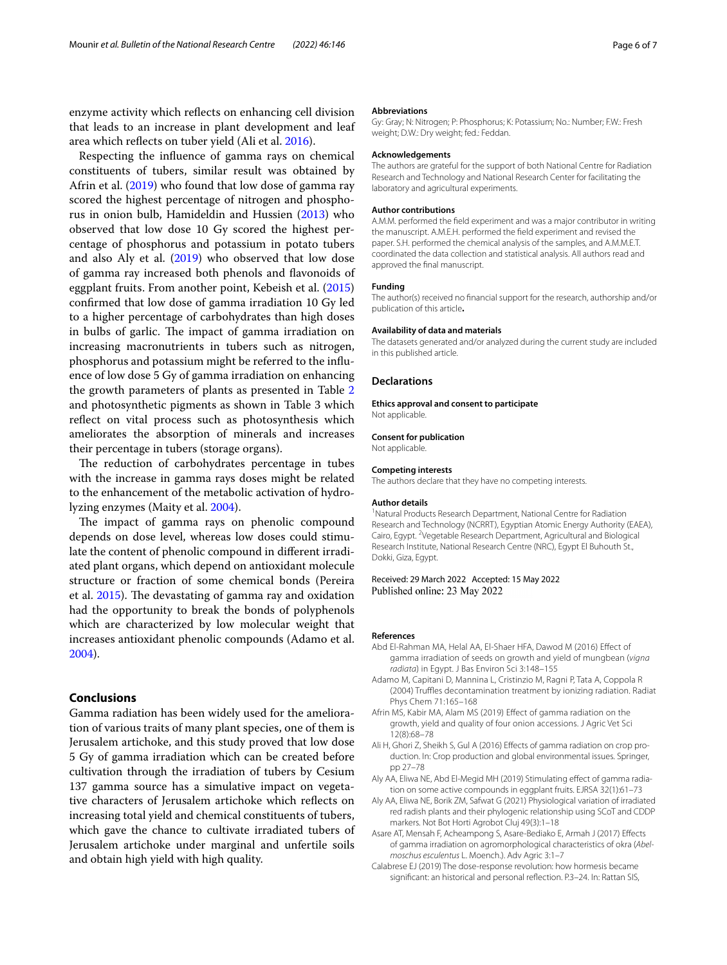enzyme activity which refects on enhancing cell division that leads to an increase in plant development and leaf area which refects on tuber yield (Ali et al. [2016](#page-5-0)).

Respecting the infuence of gamma rays on chemical constituents of tubers, similar result was obtained by Afrin et al. [\(2019\)](#page-5-5) who found that low dose of gamma ray scored the highest percentage of nitrogen and phosphorus in onion bulb, Hamideldin and Hussien ([2013](#page-6-20)) who observed that low dose 10 Gy scored the highest percentage of phosphorus and potassium in potato tubers and also Aly et al. ([2019](#page-5-6)) who observed that low dose of gamma ray increased both phenols and favonoids of eggplant fruits. From another point, Kebeish et al. ([2015](#page-6-32)) confrmed that low dose of gamma irradiation 10 Gy led to a higher percentage of carbohydrates than high doses in bulbs of garlic. The impact of gamma irradiation on increasing macronutrients in tubers such as nitrogen, phosphorus and potassium might be referred to the infuence of low dose 5 Gy of gamma irradiation on enhancing the growth parameters of plants as presented in Table [2](#page-2-0) and photosynthetic pigments as shown in Table 3 which reflect on vital process such as photosynthesis which ameliorates the absorption of minerals and increases their percentage in tubers (storage organs).

The reduction of carbohydrates percentage in tubes with the increase in gamma rays doses might be related to the enhancement of the metabolic activation of hydrolyzing enzymes (Maity et al. [2004](#page-6-33)).

The impact of gamma rays on phenolic compound depends on dose level, whereas low doses could stimulate the content of phenolic compound in diferent irradiated plant organs, which depend on antioxidant molecule structure or fraction of some chemical bonds (Pereira et al.  $2015$ ). The devastating of gamma ray and oxidation had the opportunity to break the bonds of polyphenols which are characterized by low molecular weight that increases antioxidant phenolic compounds (Adamo et al. [2004](#page-5-7)).

# **Conclusions**

Gamma radiation has been widely used for the amelioration of various traits of many plant species, one of them is Jerusalem artichoke, and this study proved that low dose 5 Gy of gamma irradiation which can be created before cultivation through the irradiation of tubers by Cesium 137 gamma source has a simulative impact on vegetative characters of Jerusalem artichoke which refects on increasing total yield and chemical constituents of tubers, which gave the chance to cultivate irradiated tubers of Jerusalem artichoke under marginal and unfertile soils and obtain high yield with high quality.

#### **Abbreviations**

Gy: Gray; N: Nitrogen; P: Phosphorus; K: Potassium; No.: Number; F.W.: Fresh weight; D.W.: Dry weight; fed.: Feddan.

#### **Acknowledgements**

The authors are grateful for the support of both National Centre for Radiation Research and Technology and National Research Center for facilitating the laboratory and agricultural experiments.

#### **Author contributions**

A.M.M. performed the feld experiment and was a major contributor in writing the manuscript. A.M.E.H. performed the feld experiment and revised the paper. S.H. performed the chemical analysis of the samples, and A.M.M.E.T. coordinated the data collection and statistical analysis. All authors read and approved the fnal manuscript.

#### **Funding**

The author(s) received no fnancial support for the research, authorship and/or publication of this article**.**

#### **Availability of data and materials**

The datasets generated and/or analyzed during the current study are included in this published article.

#### **Declarations**

**Ethics approval and consent to participate** Not applicable.

#### **Consent for publication**

Not applicable.

#### **Competing interests**

The authors declare that they have no competing interests.

#### **Author details**

<sup>1</sup> Natural Products Research Department, National Centre for Radiation Research and Technology (NCRRT), Egyptian Atomic Energy Authority (EAEA), Cairo, Egypt. <sup>2</sup>Vegetable Research Department, Agricultural and Biological Research Institute, National Research Centre (NRC), Egypt El Buhouth St., Dokki, Giza, Egypt.

## Received: 29 March 2022 Accepted: 15 May 2022 Published online: 23 May 2022

#### **References**

- <span id="page-5-2"></span>Abd El-Rahman MA, Helal AA, El-Shaer HFA, Dawod M (2016) Efect of gamma irradiation of seeds on growth and yield of mungbean (*vigna radiata*) in Egypt. J Bas Environ Sci 3:148–155
- <span id="page-5-7"></span>Adamo M, Capitani D, Mannina L, Cristinzio M, Ragni P, Tata A, Coppola R (2004) Truffles decontamination treatment by ionizing radiation. Radiat Phys Chem 71:165–168
- <span id="page-5-5"></span>Afrin MS, Kabir MA, Alam MS (2019) Efect of gamma radiation on the growth, yield and quality of four onion accessions. J Agric Vet Sci 12(8):68–78
- <span id="page-5-0"></span>Ali H, Ghori Z, Sheikh S, Gul A (2016) Effects of gamma radiation on crop production. In: Crop production and global environmental issues. Springer, pp 27–78
- <span id="page-5-6"></span>Aly AA, Eliwa NE, Abd El-Megid MH (2019) Stimulating effect of gamma radiation on some active compounds in eggplant fruits. EJRSA 32(1):61–73
- <span id="page-5-4"></span>Aly AA, Eliwa NE, Borik ZM, Safwat G (2021) Physiological variation of irradiated red radish plants and their phylogenic relationship using SCoT and CDDP markers. Not Bot Horti Agrobot Cluj 49(3):1–18
- <span id="page-5-3"></span>Asare AT, Mensah F, Acheampong S, Asare-Bediako E, Armah J (2017) Efects of gamma irradiation on agromorphological characteristics of okra (*Abelmoschus esculentus* L. Moench.). Adv Agric 3:1–7
- <span id="page-5-1"></span>Calabrese EJ (2019) The dose-response revolution: how hormesis became signifcant: an historical and personal refection. P.3–24. In: Rattan SIS,